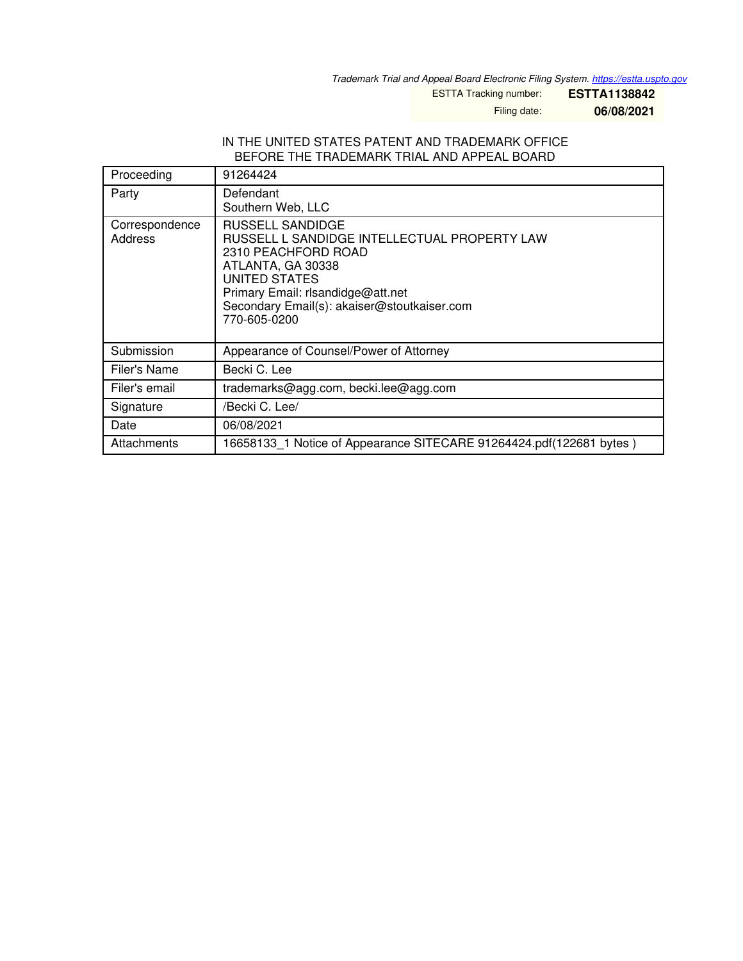*Trademark Trial and Appeal Board Electronic Filing System. <https://estta.uspto.gov>*

ESTTA Tracking number: **ESTTA1138842**

Filing date: **06/08/2021**

## IN THE UNITED STATES PATENT AND TRADEMARK OFFICE BEFORE THE TRADEMARK TRIAL AND APPEAL BOARD

| Proceeding                | 91264424                                                                                                                                                                                                                          |
|---------------------------|-----------------------------------------------------------------------------------------------------------------------------------------------------------------------------------------------------------------------------------|
| Party                     | Defendant<br>Southern Web, LLC                                                                                                                                                                                                    |
| Correspondence<br>Address | RUSSELL SANDIDGE<br>RUSSELL L SANDIDGE INTELLECTUAL PROPERTY LAW<br>2310 PEACHFORD ROAD<br>ATLANTA, GA 30338<br>UNITED STATES<br>Primary Email: rlsandidge@att.net<br>Secondary Email(s): akaiser@stoutkaiser.com<br>770-605-0200 |
| Submission                | Appearance of Counsel/Power of Attorney                                                                                                                                                                                           |
| Filer's Name              | Becki C. Lee                                                                                                                                                                                                                      |
| Filer's email             | trademarks@agg.com, becki.lee@agg.com                                                                                                                                                                                             |
| Signature                 | /Becki C. Lee/                                                                                                                                                                                                                    |
| Date                      | 06/08/2021                                                                                                                                                                                                                        |
| Attachments               | 16658133 1 Notice of Appearance SITECARE 91264424.pdf(122681 bytes)                                                                                                                                                               |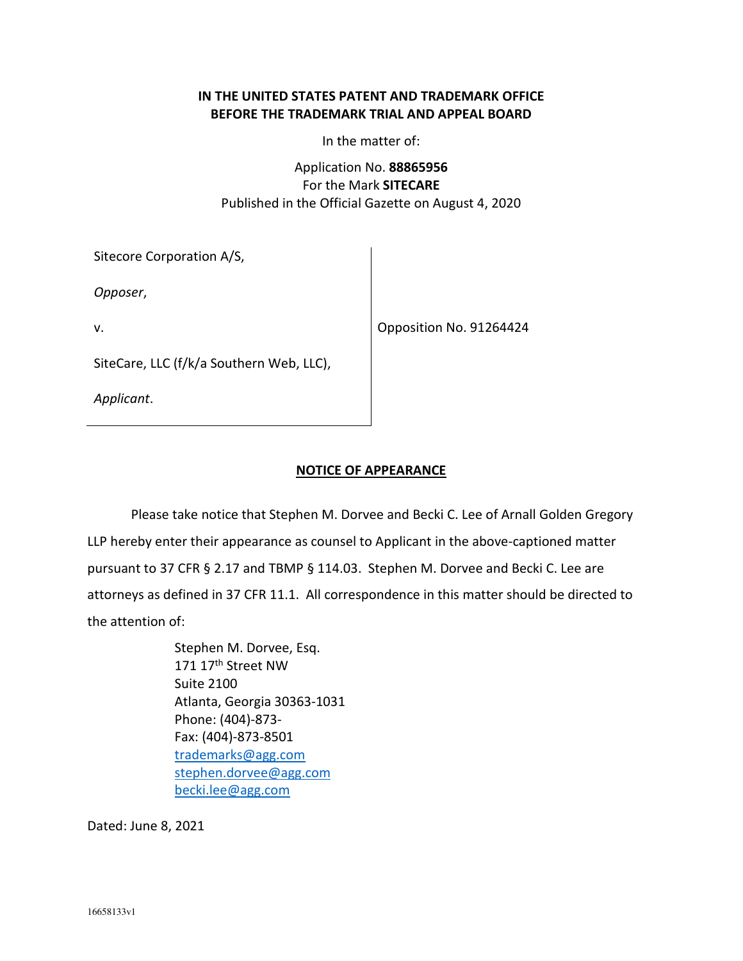## **IN THE UNITED STATES PATENT AND TRADEMARK OFFICE BEFORE THE TRADEMARK TRIAL AND APPEAL BOARD**

In the matter of:

Application No. **88865956** For the Mark **SITECARE** Published in the Official Gazette on August 4, 2020

|  | Sitecore Corporation A/S, |  |
|--|---------------------------|--|
|--|---------------------------|--|

*Opposer*,

v.

Opposition No. 91264424

SiteCare, LLC (f/k/a Southern Web, LLC),

*Applicant*.

## **NOTICE OF APPEARANCE**

Please take notice that Stephen M. Dorvee and Becki C. Lee of Arnall Golden Gregory LLP hereby enter their appearance as counsel to Applicant in the above-captioned matter pursuant to 37 CFR § 2.17 and TBMP § 114.03. Stephen M. Dorvee and Becki C. Lee are attorneys as defined in 37 CFR 11.1. All correspondence in this matter should be directed to the attention of:

> Stephen M. Dorvee, Esq. 171 17<sup>th</sup> Street NW Suite 2100 Atlanta, Georgia 30363-1031 Phone: (404)-873- Fax: (404)-873-8501 trademarks@agg.com stephen.dorvee@agg.com becki.lee@agg.com

Dated: June 8, 2021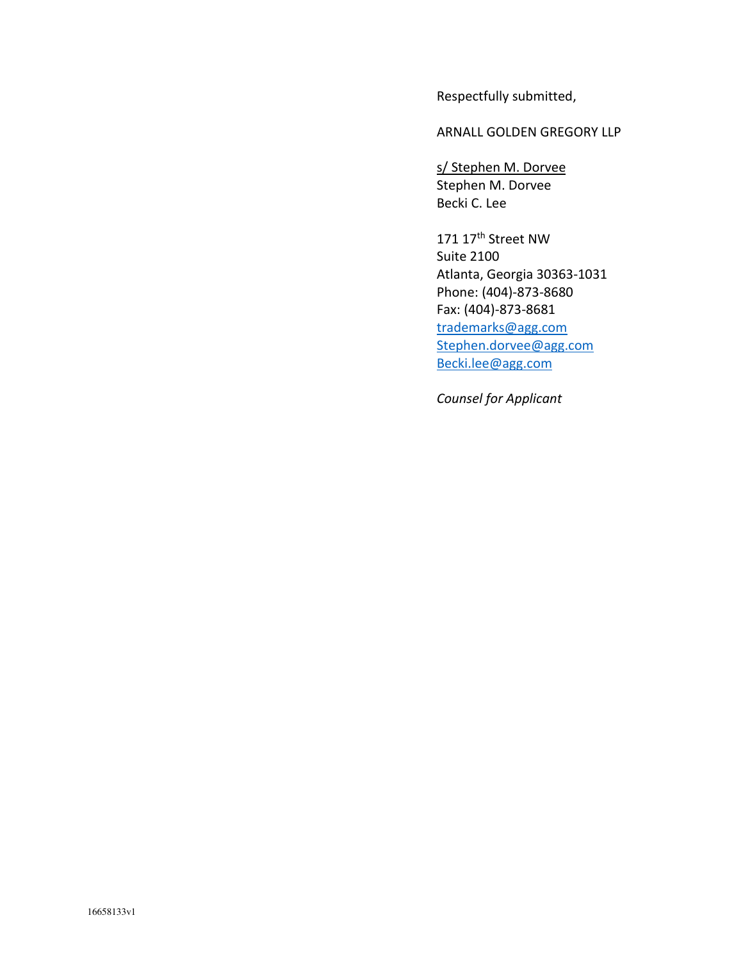Respectfully submitted,

ARNALL GOLDEN GREGORY LLP

s/ Stephen M. Dorvee Stephen M. Dorvee Becki C. Lee

171 17th Street NW Suite 2100 Atlanta, Georgia 30363-1031 Phone: (404)-873-8680 Fax: (404)-873-8681 trademarks@agg.com Stephen.dorvee@agg.com Becki.lee@agg.com

*Counsel for Applicant*